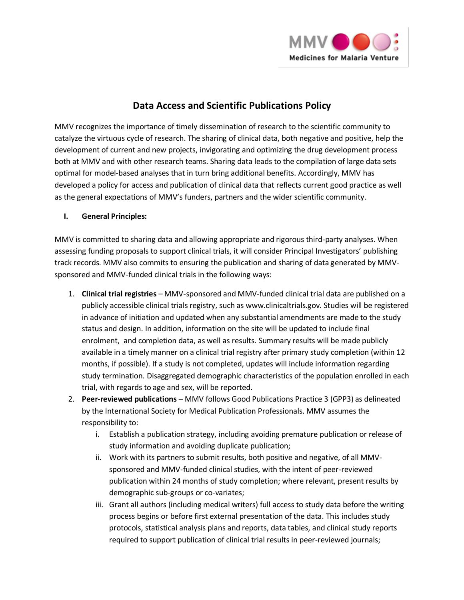

## **Data Access and Scientific Publications Policy**

MMV recognizes the importance of timely dissemination of research to the scientific community to catalyze the virtuous cycle of research. The sharing of clinical data, both negative and positive, help the development of current and new projects, invigorating and optimizing the drug development process both at MMV and with other research teams. Sharing data leads to the compilation of large data sets optimal for model-based analyses that in turn bring additional benefits. Accordingly, MMV has developed a policy for access and publication of clinical data that reflects current good practice as well as the general expectations of MMV's funders, partners and the wider scientific community.

## **I. General Principles:**

MMV is committed to sharing data and allowing appropriate and rigorous third-party analyses. When assessing funding proposals to support clinical trials, it will consider Principal Investigators' publishing track records. MMV also commits to ensuring the publication and sharing of data generated by MMVsponsored and MMV-funded clinical trials in the following ways:

- 1. **Clinical trial registries** MMV-sponsored and MMV-funded clinical trial data are published on a publicly accessible clinical trials registry, such as www.clinicaltrials.gov. Studies will be registered in advance of initiation and updated when any substantial amendments are made to the study status and design. In addition, information on the site will be updated to include final enrolment, and completion data, as well as results. Summary results will be made publicly available in a timely manner on a clinical trial registry after primary study completion (within 12 months, if possible). If a study is not completed, updates will include information regarding study termination. Disaggregated demographic characteristics of the population enrolled in each trial, with regards to age and sex, will be reported.
- 2. **Peer-reviewed publications** MMV follows Good Publications Practice 3 (GPP3) as delineated by the International Society for Medical Publication Professionals. MMV assumes the responsibility to:
	- i. Establish a publication strategy, including avoiding premature publication or release of study information and avoiding duplicate publication;
	- ii. Work with its partners to submit results, both positive and negative, of all MMVsponsored and MMV-funded clinical studies, with the intent of peer-reviewed publication within 24 months of study completion; where relevant, present results by demographic sub-groups or co-variates;
	- iii. Grant all authors (including medical writers) full access to study data before the writing process begins or before first external presentation of the data. This includes study protocols, statistical analysis plans and reports, data tables, and clinical study reports required to support publication of clinical trial results in peer-reviewed journals;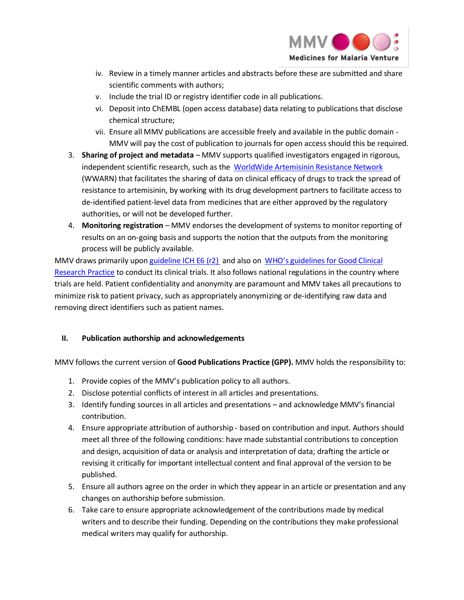

- iv. Review in a timely manner articles and abstracts before these are submitted and share scientific comments with authors;
- v. Include the trial ID or registry identifier code in all publications.
- vi. Deposit into ChEMBL (open access database) data relating to publications that disclose chemical structure;
- vii. Ensure all MMV publications are accessible freely and available in the public domain MMV will pay the cost of publication to journals for open access should this be required.
- 3. **Sharing of project and metadata** MMV supports qualified investigators engaged in rigorous, independent scientific research, such as the [WorldWide Artemisinin Resistance Network](http://www.wwarn.org/) (WWARN) that facilitates the sharing of data on clinical efficacy of drugs to track the spread of resistance to artemisinin, by working with its drug development partners to facilitate access to de-identified patient-level data from medicines that are either approved by the regulatory authorities, or will not be developed further.
- 4. **Monitoring registration** MMV endorses the development of systems to monitor reporting of results on an on-going basis and supports the notion that the outputs from the monitoring process will be publicly available.

MMV draws primarily upo[n guideline ICH E6 \(r2\)](http://www.ich.org/fileadmin/Public_Web_Site/ICH_Products/Guidelines/Efficacy/E6/E6_R2__Step_4_2016_1109.pdf) and also on [WHO's guidelines for Good Clinical](http://www.who.int/medicines/areas/quality_safety/safety_efficacy/gcp1.pdf)  [Research Practice](http://www.who.int/medicines/areas/quality_safety/safety_efficacy/gcp1.pdf) to conduct its clinical trials. It also follows national regulations in the country where trials are held. Patient confidentiality and anonymity are paramount and MMV takes all precautions to minimize risk to patient privacy, such as appropriately anonymizing or de-identifying raw data and removing direct identifiers such as patient names.

## **II. Publication authorship and acknowledgements**

MMV follows the current version of **Good Publications Practice (GPP).** MMV holds the responsibility to:

- 1. Provide copies of the MMV's publication policy to all authors.
- 2. Disclose potential conflicts of interest in all articles and presentations.
- 3. Identify funding sources in all articles and presentations and acknowledge MMV's financial contribution.
- 4. Ensure appropriate attribution of authorship based on contribution and input. Authors should meet all three of the following conditions: have made substantial contributions to conception and design, acquisition of data or analysis and interpretation of data; drafting the article or revising it critically for important intellectual content and final approval of the version to be published.
- 5. Ensure all authors agree on the order in which they appear in an article or presentation and any changes on authorship before submission.
- 6. Take care to ensure appropriate acknowledgement of the contributions made by medical writers and to describe their funding. Depending on the contributions they make professional medical writers may qualify for authorship.